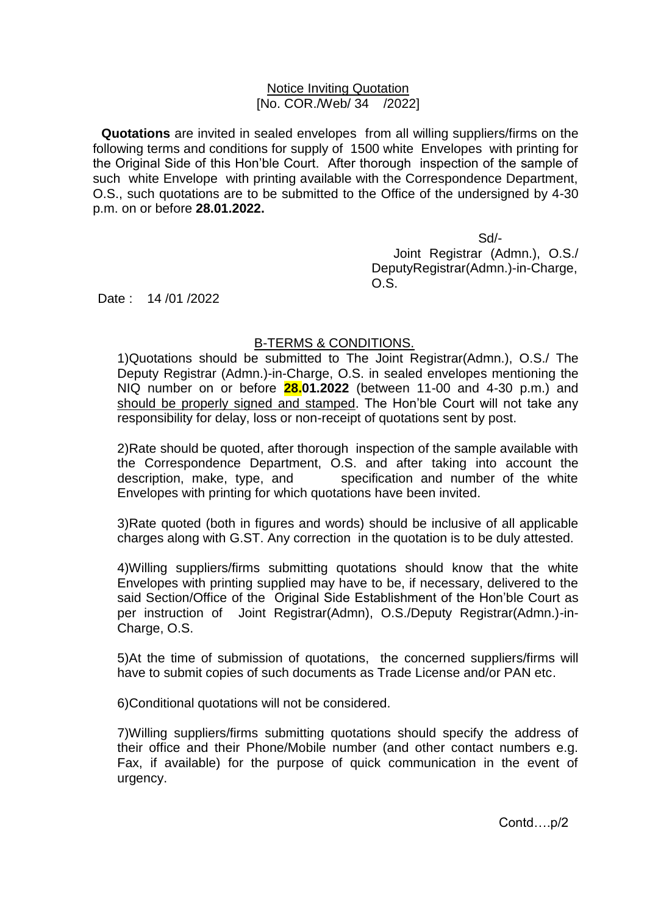## Notice Inviting Quotation [No. COR./Web/ 34 /2022]

**Quotations** are invited in sealed envelopes from all willing suppliers/firms on the following terms and conditions for supply of 1500 white Envelopes with printing for the Original Side of this Hon'ble Court. After thorough inspection of the sample of such white Envelope with printing available with the Correspondence Department, O.S., such quotations are to be submitted to the Office of the undersigned by 4-30 p.m. on or before **28.01.2022.**

 Sd/- Joint Registrar (Admn.), O.S./ DeputyRegistrar(Admn.)-in-Charge, O.S.

Date: 14 /01 /2022

## B-TERMS & CONDITIONS.

1)Quotations should be submitted to The Joint Registrar(Admn.), O.S./ The Deputy Registrar (Admn.)-in-Charge, O.S. in sealed envelopes mentioning the NIQ number on or before **28.01.2022** (between 11-00 and 4-30 p.m.) and should be properly signed and stamped. The Hon'ble Court will not take any responsibility for delay, loss or non-receipt of quotations sent by post.

2)Rate should be quoted, after thorough inspection of the sample available with the Correspondence Department, O.S. and after taking into account the description, make, type, and specification and number of the white Envelopes with printing for which quotations have been invited.

3)Rate quoted (both in figures and words) should be inclusive of all applicable charges along with G.ST. Any correction in the quotation is to be duly attested.

4)Willing suppliers/firms submitting quotations should know that the white Envelopes with printing supplied may have to be, if necessary, delivered to the said Section/Office of the Original Side Establishment of the Hon'ble Court as per instruction of Joint Registrar(Admn), O.S./Deputy Registrar(Admn.)-in-Charge, O.S.

5)At the time of submission of quotations, the concerned suppliers/firms will have to submit copies of such documents as Trade License and/or PAN etc.

6)Conditional quotations will not be considered.

7)Willing suppliers/firms submitting quotations should specify the address of their office and their Phone/Mobile number (and other contact numbers e.g. Fax, if available) for the purpose of quick communication in the event of urgency.